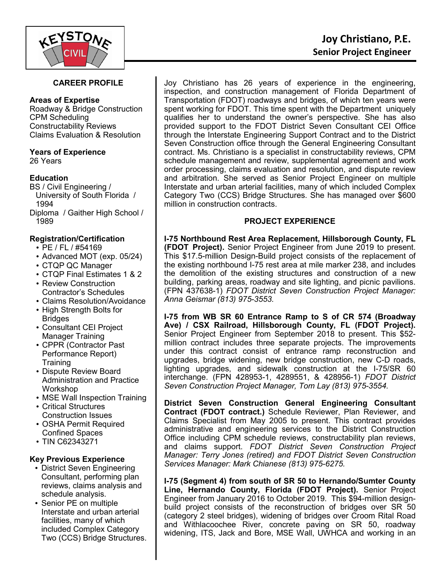

## **CAREER PROFILE**

### **Areas of Expertise**

Roadway & Bridge Construction CPM Scheduling Constructability Reviews Claims Evaluation & Resolution

**Years of Experience**  26 Years

# **Education**

BS / Civil Engineering / University of South Florida / 1994

Diploma / Gaither High School / 1989

## **Registration/Certification**

- PE / FL / #54169
- Advanced MOT (exp. 05/24)
- CTQP QC Manager
- CTQP Final Estimates 1 & 2
- Review Construction Contractor's Schedules
- Claims Resolution/Avoidance
- High Strength Bolts for **Bridges**
- Consultant CEI Project Manager Training
- CPPR (Contractor Past Performance Report) **Training**
- Dispute Review Board Administration and Practice Workshop
- MSE Wall Inspection Training
- Critical Structures Construction Issues
- OSHA Permit Required Confined Spaces
- TIN C62343271

#### **Key Previous Experience**

- District Seven Engineering Consultant, performing plan reviews, claims analysis and schedule analysis.
- Senior PE on multiple Interstate and urban arterial facilities, many of which included Complex Category Two (CCS) Bridge Structures.

Joy Christiano has 26 years of experience in the engineering, inspection, and construction management of Florida Department of Transportation (FDOT) roadways and bridges, of which ten years were spent working for FDOT. This time spent with the Department uniquely qualifies her to understand the owner's perspective. She has also provided support to the FDOT District Seven Consultant CEI Office through the Interstate Engineering Support Contract and to the District Seven Construction office through the General Engineering Consultant contract. Ms. Christiano is a specialist in constructability reviews, CPM schedule management and review, supplemental agreement and work order processing, claims evaluation and resolution, and dispute review and arbitration. She served as Senior Project Engineer on multiple Interstate and urban arterial facilities, many of which included Complex Category Two (CCS) Bridge Structures. She has managed over \$600 million in construction contracts.

#### **PROJECT EXPERIENCE**

**I-75 Northbound Rest Area Replacement, Hillsborough County, FL (FDOT Project).** Senior Project Engineer from June 2019 to present. This \$17.5-million Design-Build project consists of the replacement of the existing northbound I-75 rest area at mile marker 238, and includes the demolition of the existing structures and construction of a new building, parking areas, roadway and site lighting, and picnic pavilions. (FPN 437638-1) *FDOT District Seven Construction Project Manager: Anna Geismar (813) 975-3553.*

**I-75 from WB SR 60 Entrance Ramp to S of CR 574 (Broadway Ave) / CSX Railroad, Hillsborough County, FL (FDOT Project).**  Senior Project Engineer from September 2018 to present. This \$52 million contract includes three separate projects. The improvements under this contract consist of entrance ramp reconstruction and upgrades, bridge widening, new bridge construction, new C-D roads, lighting upgrades, and sidewalk construction at the I-75/SR 60 interchange. (FPN 428953-1, 4289551, & 428956-1) *FDOT District Seven Construction Project Manager, Tom Lay (813) 975-3554.* 

**District Seven Construction General Engineering Consultant Contract (FDOT contract.)** Schedule Reviewer, Plan Reviewer, and Claims Specialist from May 2005 to present. This contract provides administrative and engineering services to the District Construction Office including CPM schedule reviews, constructability plan reviews, and claims support. *FDOT District Seven Construction Project Manager: Terry Jones (retired) and FDOT District Seven Construction Services Manager: Mark Chianese (813) 975-6275.*

**I-75 (Segment 4) from south of SR 50 to Hernando/Sumter County Line, Hernando County, Florida (FDOT Project).** Senior Project Engineer from January 2016 to October 2019. This \$94-million designbuild project consists of the reconstruction of bridges over SR 50 (category 2 steel bridges), widening of bridges over Croom Rital Road and Withlacoochee River, concrete paving on SR 50, roadway widening, ITS, Jack and Bore, MSE Wall, UWHCA and working in an